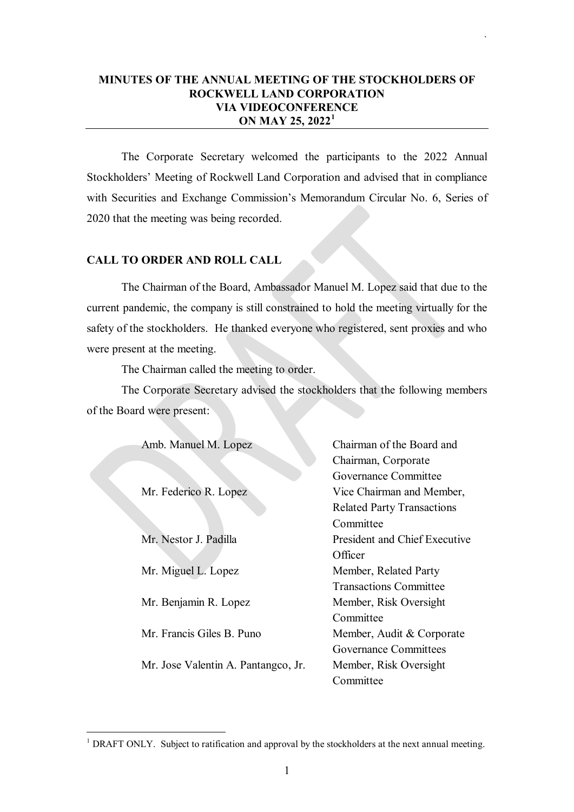# **MINUTES OF THE ANNUAL MEETING OF THE STOCKHOLDERS OF ROCKWELL LAND CORPORATION VIA VIDEOCONFERENCE ON MAY 25, 2022[1](#page-0-0)**

`

The Corporate Secretary welcomed the participants to the 2022 Annual Stockholders' Meeting of Rockwell Land Corporation and advised that in compliance with Securities and Exchange Commission's Memorandum Circular No. 6, Series of 2020 that the meeting was being recorded.

## **CALL TO ORDER AND ROLL CALL**

The Chairman of the Board, Ambassador Manuel M. Lopez said that due to the current pandemic, the company is still constrained to hold the meeting virtually for the safety of the stockholders. He thanked everyone who registered, sent proxies and who were present at the meeting.

The Chairman called the meeting to order.

The Corporate Secretary advised the stockholders that the following members of the Board were present:

| Amb. Manuel M. Lopez                | Chairman of the Board and            |
|-------------------------------------|--------------------------------------|
|                                     | Chairman, Corporate                  |
|                                     | Governance Committee                 |
| Mr. Federico R. Lopez               | Vice Chairman and Member,            |
|                                     | <b>Related Party Transactions</b>    |
|                                     | Committee                            |
| Mr. Nestor J. Padilla               | <b>President and Chief Executive</b> |
|                                     | Officer                              |
| Mr. Miguel L. Lopez                 | Member, Related Party                |
|                                     | <b>Transactions Committee</b>        |
| Mr. Benjamin R. Lopez               | Member, Risk Oversight               |
|                                     | Committee                            |
| Mr. Francis Giles B. Puno           | Member, Audit & Corporate            |
|                                     | Governance Committees                |
| Mr. Jose Valentin A. Pantangco, Jr. | Member, Risk Oversight               |
|                                     | Committee                            |

<span id="page-0-0"></span><sup>&</sup>lt;sup>1</sup> DRAFT ONLY. Subject to ratification and approval by the stockholders at the next annual meeting.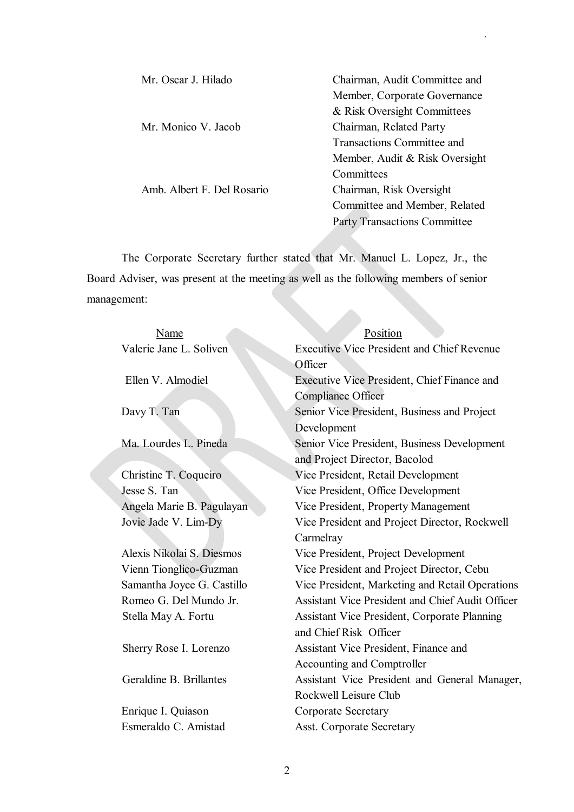| Mr. Oscar J. Hilado        | Chairman, Audit Committee and       |
|----------------------------|-------------------------------------|
|                            | Member, Corporate Governance        |
|                            | & Risk Oversight Committees         |
| Mr. Monico V. Jacob        | Chairman, Related Party             |
|                            | Transactions Committee and          |
|                            | Member, Audit & Risk Oversight      |
|                            | Committees                          |
| Amb. Albert F. Del Rosario | Chairman, Risk Oversight            |
|                            | Committee and Member, Related       |
|                            | <b>Party Transactions Committee</b> |

`

The Corporate Secretary further stated that Mr. Manuel L. Lopez, Jr., the Board Adviser, was present at the meeting as well as the following members of senior management:

| Name                       | Position                                                |
|----------------------------|---------------------------------------------------------|
| Valerie Jane L. Soliven    | <b>Executive Vice President and Chief Revenue</b>       |
|                            | Officer                                                 |
| Ellen V. Almodiel          | Executive Vice President, Chief Finance and             |
|                            | <b>Compliance Officer</b>                               |
| Davy T. Tan                | Senior Vice President, Business and Project             |
|                            | Development                                             |
| Ma. Lourdes L. Pineda      | Senior Vice President, Business Development             |
|                            | and Project Director, Bacolod                           |
| Christine T. Coqueiro      | Vice President, Retail Development                      |
| Jesse S. Tan               | Vice President, Office Development                      |
| Angela Marie B. Pagulayan  | Vice President, Property Management                     |
| Jovie Jade V. Lim-Dy       | Vice President and Project Director, Rockwell           |
|                            | Carmelray                                               |
| Alexis Nikolai S. Diesmos  | Vice President, Project Development                     |
| Vienn Tionglico-Guzman     | Vice President and Project Director, Cebu               |
| Samantha Joyce G. Castillo | Vice President, Marketing and Retail Operations         |
| Romeo G. Del Mundo Jr.     | <b>Assistant Vice President and Chief Audit Officer</b> |
| Stella May A. Fortu        | Assistant Vice President, Corporate Planning            |
|                            | and Chief Risk Officer                                  |
| Sherry Rose I. Lorenzo     | Assistant Vice President, Finance and                   |
|                            | Accounting and Comptroller                              |
| Geraldine B. Brillantes    | Assistant Vice President and General Manager,           |
|                            | Rockwell Leisure Club                                   |
| Enrique I. Quiason         | <b>Corporate Secretary</b>                              |
| Esmeraldo C. Amistad       | <b>Asst. Corporate Secretary</b>                        |
|                            |                                                         |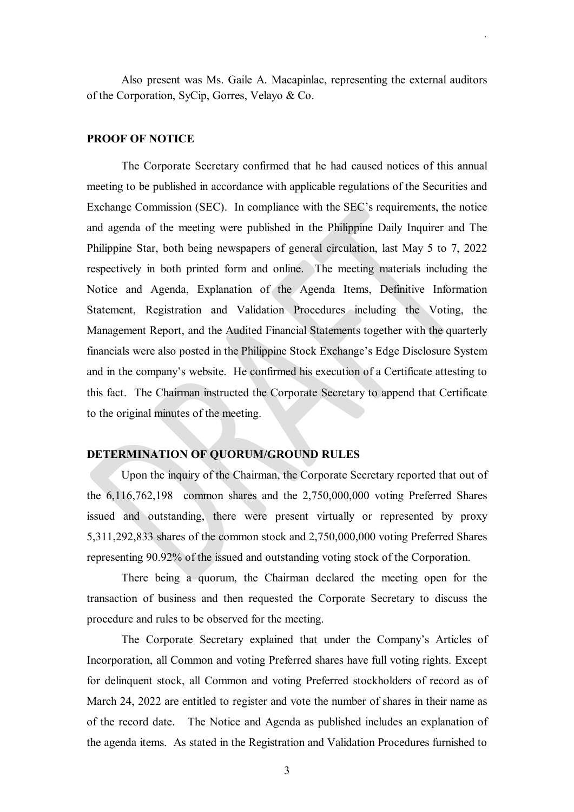Also present was Ms. Gaile A. Macapinlac, representing the external auditors of the Corporation, SyCip, Gorres, Velayo & Co.

`

#### **PROOF OF NOTICE**

The Corporate Secretary confirmed that he had caused notices of this annual meeting to be published in accordance with applicable regulations of the Securities and Exchange Commission (SEC). In compliance with the SEC's requirements, the notice and agenda of the meeting were published in the Philippine Daily Inquirer and The Philippine Star, both being newspapers of general circulation, last May 5 to 7, 2022 respectively in both printed form and online. The meeting materials including the Notice and Agenda, Explanation of the Agenda Items, Definitive Information Statement, Registration and Validation Procedures including the Voting, the Management Report, and the Audited Financial Statements together with the quarterly financials were also posted in the Philippine Stock Exchange's Edge Disclosure System and in the company's website. He confirmed his execution of a Certificate attesting to this fact. The Chairman instructed the Corporate Secretary to append that Certificate to the original minutes of the meeting.

## **DETERMINATION OF QUORUM/GROUND RULES**

Upon the inquiry of the Chairman, the Corporate Secretary reported that out of the 6,116,762,198 common shares and the 2,750,000,000 voting Preferred Shares issued and outstanding, there were present virtually or represented by proxy 5,311,292,833 shares of the common stock and 2,750,000,000 voting Preferred Shares representing 90.92% of the issued and outstanding voting stock of the Corporation.

There being a quorum, the Chairman declared the meeting open for the transaction of business and then requested the Corporate Secretary to discuss the procedure and rules to be observed for the meeting.

The Corporate Secretary explained that under the Company's Articles of Incorporation, all Common and voting Preferred shares have full voting rights. Except for delinquent stock, all Common and voting Preferred stockholders of record as of March 24, 2022 are entitled to register and vote the number of shares in their name as of the record date. The Notice and Agenda as published includes an explanation of the agenda items. As stated in the Registration and Validation Procedures furnished to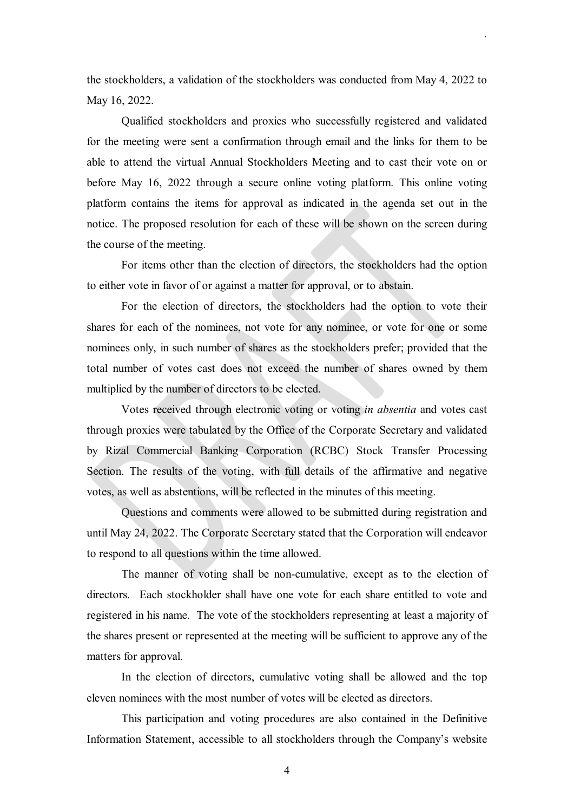the stockholders, a validation of the stockholders was conducted from May 4, 2022 to May 16, 2022.

`

Qualified stockholders and proxies who successfully registered and validated for the meeting were sent a confirmation through email and the links for them to be able to attend the virtual Annual Stockholders Meeting and to cast their vote on or before May 16, 2022 through a secure online voting platform. This online voting platform contains the items for approval as indicated in the agenda set out in the notice. The proposed resolution for each of these will be shown on the screen during the course of the meeting.

For items other than the election of directors, the stockholders had the option to either vote in favor of or against a matter for approval, or to abstain.

For the election of directors, the stockholders had the option to vote their shares for each of the nominees, not vote for any nominee, or vote for one or some nominees only, in such number of shares as the stockholders prefer; provided that the total number of votes cast does not exceed the number of shares owned by them multiplied by the number of directors to be elected.

Votes received through electronic voting or voting *in absentia* and votes cast through proxies were tabulated by the Office of the Corporate Secretary and validated by Rizal Commercial Banking Corporation (RCBC) Stock Transfer Processing Section. The results of the voting, with full details of the affirmative and negative votes, as well as abstentions, will be reflected in the minutes of this meeting.

Questions and comments were allowed to be submitted during registration and until May 24, 2022. The Corporate Secretary stated that the Corporation will endeavor to respond to all questions within the time allowed.

The manner of voting shall be non-cumulative, except as to the election of directors. Each stockholder shall have one vote for each share entitled to vote and registered in his name. The vote of the stockholders representing at least a majority of the shares present or represented at the meeting will be sufficient to approve any of the matters for approval.

In the election of directors, cumulative voting shall be allowed and the top eleven nominees with the most number of votes will be elected as directors.

This participation and voting procedures are also contained in the Definitive Information Statement, accessible to all stockholders through the Company's website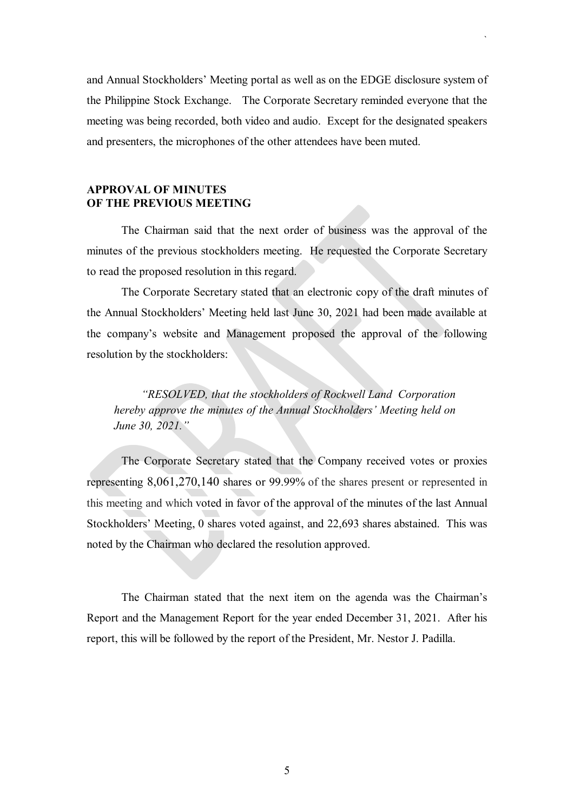and Annual Stockholders' Meeting portal as well as on the EDGE disclosure system of the Philippine Stock Exchange. The Corporate Secretary reminded everyone that the meeting was being recorded, both video and audio. Except for the designated speakers and presenters, the microphones of the other attendees have been muted.

`

# **APPROVAL OF MINUTES OF THE PREVIOUS MEETING**

The Chairman said that the next order of business was the approval of the minutes of the previous stockholders meeting. He requested the Corporate Secretary to read the proposed resolution in this regard.

The Corporate Secretary stated that an electronic copy of the draft minutes of the Annual Stockholders' Meeting held last June 30, 2021 had been made available at the company's website and Management proposed the approval of the following resolution by the stockholders:

*"RESOLVED, that the stockholders of Rockwell Land Corporation hereby approve the minutes of the Annual Stockholders' Meeting held on June 30, 2021."*

The Corporate Secretary stated that the Company received votes or proxies representing 8,061,270,140 shares or 99.99% of the shares present or represented in this meeting and which voted in favor of the approval of the minutes of the last Annual Stockholders' Meeting, 0 shares voted against, and 22,693 shares abstained. This was noted by the Chairman who declared the resolution approved.

The Chairman stated that the next item on the agenda was the Chairman's Report and the Management Report for the year ended December 31, 2021. After his report, this will be followed by the report of the President, Mr. Nestor J. Padilla.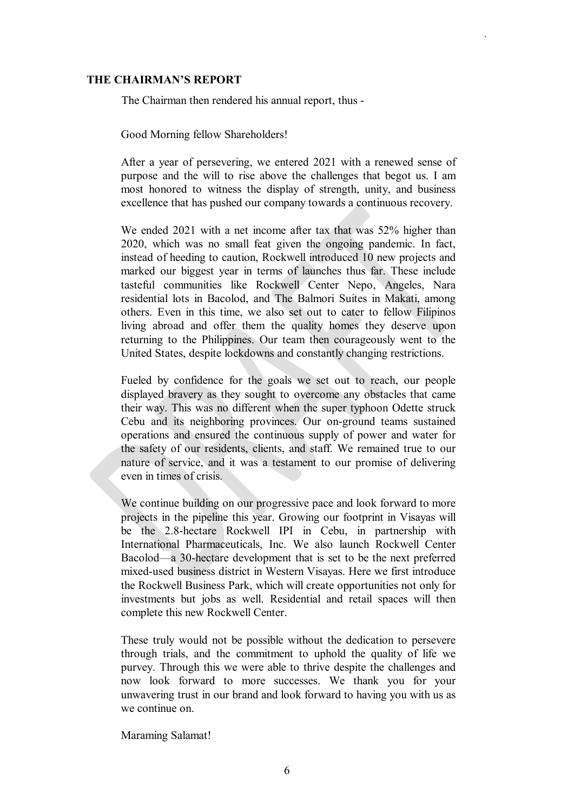## **THE CHAIRMAN'S REPORT**

The Chairman then rendered his annual report, thus -

Good Morning fellow Shareholders!

After a year of persevering, we entered 2021 with a renewed sense of purpose and the will to rise above the challenges that begot us. I am most honored to witness the display of strength, unity, and business excellence that has pushed our company towards a continuous recovery.

`

We ended 2021 with a net income after tax that was 52% higher than 2020, which was no small feat given the ongoing pandemic. In fact, instead of heeding to caution, Rockwell introduced 10 new projects and marked our biggest year in terms of launches thus far. These include tasteful communities like Rockwell Center Nepo, Angeles, Nara residential lots in Bacolod, and The Balmori Suites in Makati, among others. Even in this time, we also set out to cater to fellow Filipinos living abroad and offer them the quality homes they deserve upon returning to the Philippines. Our team then courageously went to the United States, despite lockdowns and constantly changing restrictions.

Fueled by confidence for the goals we set out to reach, our people displayed bravery as they sought to overcome any obstacles that came their way. This was no different when the super typhoon Odette struck Cebu and its neighboring provinces. Our on-ground teams sustained operations and ensured the continuous supply of power and water for the safety of our residents, clients, and staff. We remained true to our nature of service, and it was a testament to our promise of delivering even in times of crisis.

We continue building on our progressive pace and look forward to more projects in the pipeline this year. Growing our footprint in Visayas will be the 2.8-hectare Rockwell IPI in Cebu, in partnership with International Pharmaceuticals, Inc. We also launch Rockwell Center Bacolod—a 30-hectare development that is set to be the next preferred mixed-used business district in Western Visayas. Here we first introduce the Rockwell Business Park, which will create opportunities not only for investments but jobs as well. Residential and retail spaces will then complete this new Rockwell Center.

These truly would not be possible without the dedication to persevere through trials, and the commitment to uphold the quality of life we purvey. Through this we were able to thrive despite the challenges and now look forward to more successes. We thank you for your unwavering trust in our brand and look forward to having you with us as we continue on.

Maraming Salamat!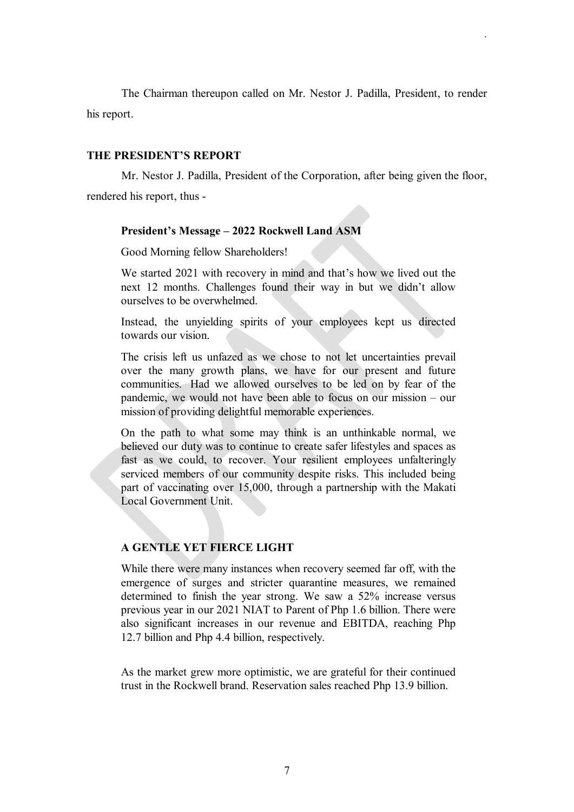The Chairman thereupon called on Mr. Nestor J. Padilla, President, to render his report.

`

### **THE PRESIDENT'S REPORT**

Mr. Nestor J. Padilla, President of the Corporation, after being given the floor, rendered his report, thus -

#### **President's Message – 2022 Rockwell Land ASM**

Good Morning fellow Shareholders!

We started 2021 with recovery in mind and that's how we lived out the next 12 months. Challenges found their way in but we didn't allow ourselves to be overwhelmed.

Instead, the unyielding spirits of your employees kept us directed towards our vision.

The crisis left us unfazed as we chose to not let uncertainties prevail over the many growth plans, we have for our present and future communities. Had we allowed ourselves to be led on by fear of the pandemic, we would not have been able to focus on our mission – our mission of providing delightful memorable experiences.

On the path to what some may think is an unthinkable normal, we believed our duty was to continue to create safer lifestyles and spaces as fast as we could, to recover. Your resilient employees unfalteringly serviced members of our community despite risks. This included being part of vaccinating over 15,000, through a partnership with the Makati Local Government Unit.

# **A GENTLE YET FIERCE LIGHT**

While there were many instances when recovery seemed far off, with the emergence of surges and stricter quarantine measures, we remained determined to finish the year strong. We saw a 52% increase versus previous year in our 2021 NIAT to Parent of Php 1.6 billion. There were also significant increases in our revenue and EBITDA, reaching Php 12.7 billion and Php 4.4 billion, respectively.

As the market grew more optimistic, we are grateful for their continued trust in the Rockwell brand. Reservation sales reached Php 13.9 billion.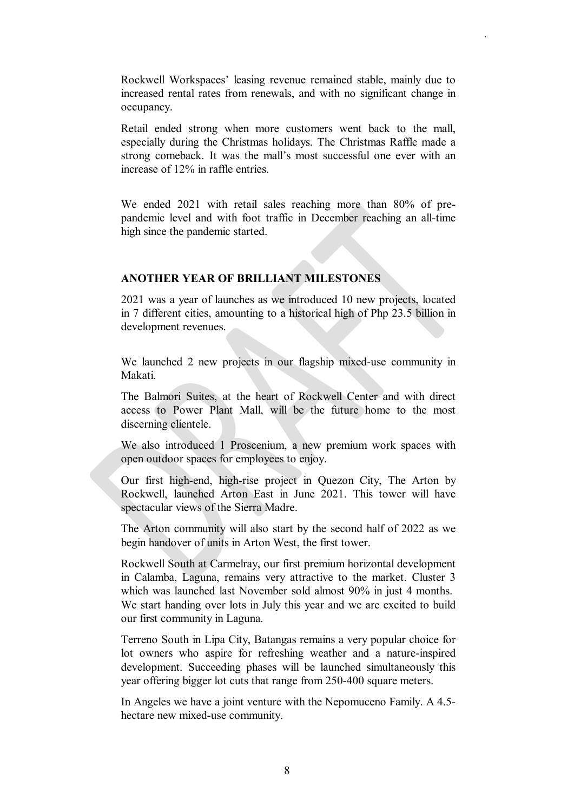Rockwell Workspaces' leasing revenue remained stable, mainly due to increased rental rates from renewals, and with no significant change in occupancy.

`

Retail ended strong when more customers went back to the mall, especially during the Christmas holidays. The Christmas Raffle made a strong comeback. It was the mall's most successful one ever with an increase of 12% in raffle entries.

We ended 2021 with retail sales reaching more than 80% of prepandemic level and with foot traffic in December reaching an all-time high since the pandemic started.

## **ANOTHER YEAR OF BRILLIANT MILESTONES**

2021 was a year of launches as we introduced 10 new projects, located in 7 different cities, amounting to a historical high of Php 23.5 billion in development revenues.

We launched 2 new projects in our flagship mixed-use community in Makati.

The Balmori Suites, at the heart of Rockwell Center and with direct access to Power Plant Mall, will be the future home to the most discerning clientele.

We also introduced 1 Proscenium, a new premium work spaces with open outdoor spaces for employees to enjoy.

Our first high-end, high-rise project in Quezon City, The Arton by Rockwell, launched Arton East in June 2021. This tower will have spectacular views of the Sierra Madre.

The Arton community will also start by the second half of 2022 as we begin handover of units in Arton West, the first tower.

Rockwell South at Carmelray, our first premium horizontal development in Calamba, Laguna, remains very attractive to the market. Cluster 3 which was launched last November sold almost 90% in just 4 months. We start handing over lots in July this year and we are excited to build our first community in Laguna.

Terreno South in Lipa City, Batangas remains a very popular choice for lot owners who aspire for refreshing weather and a nature-inspired development. Succeeding phases will be launched simultaneously this year offering bigger lot cuts that range from 250-400 square meters.

In Angeles we have a joint venture with the Nepomuceno Family. A 4.5 hectare new mixed-use community.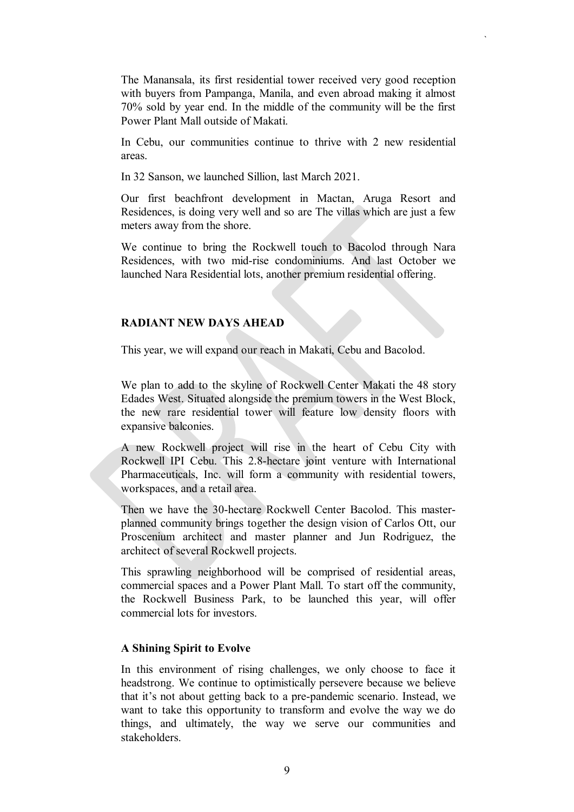The Manansala, its first residential tower received very good reception with buyers from Pampanga, Manila, and even abroad making it almost 70% sold by year end. In the middle of the community will be the first Power Plant Mall outside of Makati.

`

In Cebu, our communities continue to thrive with 2 new residential areas.

In 32 Sanson, we launched Sillion, last March 2021.

Our first beachfront development in Mactan, Aruga Resort and Residences, is doing very well and so are The villas which are just a few meters away from the shore.

We continue to bring the Rockwell touch to Bacolod through Nara Residences, with two mid-rise condominiums. And last October we launched Nara Residential lots, another premium residential offering.

# **RADIANT NEW DAYS AHEAD**

This year, we will expand our reach in Makati, Cebu and Bacolod.

We plan to add to the skyline of Rockwell Center Makati the 48 story Edades West. Situated alongside the premium towers in the West Block, the new rare residential tower will feature low density floors with expansive balconies.

A new Rockwell project will rise in the heart of Cebu City with Rockwell IPI Cebu. This 2.8-hectare joint venture with International Pharmaceuticals, Inc. will form a community with residential towers, workspaces, and a retail area.

Then we have the 30-hectare Rockwell Center Bacolod. This masterplanned community brings together the design vision of Carlos Ott, our Proscenium architect and master planner and Jun Rodriguez, the architect of several Rockwell projects.

This sprawling neighborhood will be comprised of residential areas, commercial spaces and a Power Plant Mall. To start off the community, the Rockwell Business Park, to be launched this year, will offer commercial lots for investors.

## **A Shining Spirit to Evolve**

In this environment of rising challenges, we only choose to face it headstrong. We continue to optimistically persevere because we believe that it's not about getting back to a pre-pandemic scenario. Instead, we want to take this opportunity to transform and evolve the way we do things, and ultimately, the way we serve our communities and stakeholders.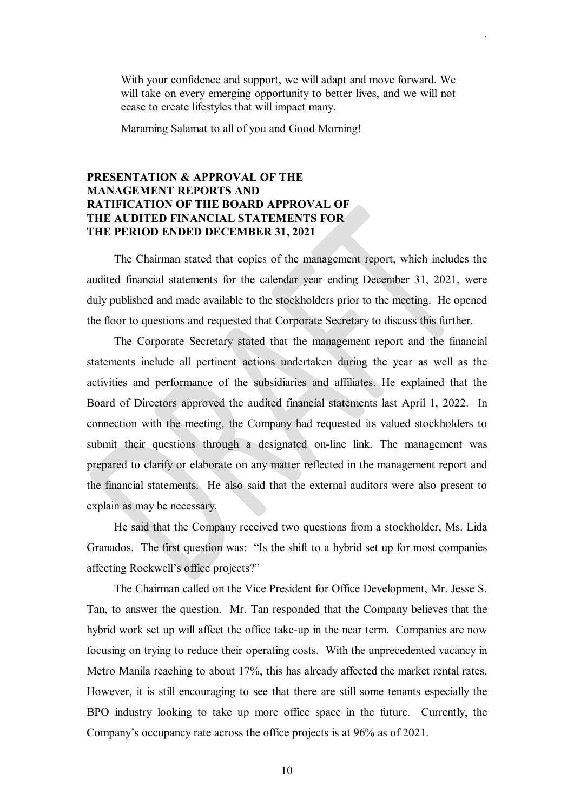With your confidence and support, we will adapt and move forward. We will take on every emerging opportunity to better lives, and we will not cease to create lifestyles that will impact many.

`

Maraming Salamat to all of you and Good Morning!

# **PRESENTATION & APPROVAL OF THE MANAGEMENT REPORTS AND RATIFICATION OF THE BOARD APPROVAL OF THE AUDITED FINANCIAL STATEMENTS FOR THE PERIOD ENDED DECEMBER 31, 2021**

The Chairman stated that copies of the management report, which includes the audited financial statements for the calendar year ending December 31, 2021, were duly published and made available to the stockholders prior to the meeting. He opened the floor to questions and requested that Corporate Secretary to discuss this further.

The Corporate Secretary stated that the management report and the financial statements include all pertinent actions undertaken during the year as well as the activities and performance of the subsidiaries and affiliates. He explained that the Board of Directors approved the audited financial statements last April 1, 2022. In connection with the meeting, the Company had requested its valued stockholders to submit their questions through a designated on-line link. The management was prepared to clarify or elaborate on any matter reflected in the management report and the financial statements. He also said that the external auditors were also present to explain as may be necessary.

He said that the Company received two questions from a stockholder, Ms. Lida Granados. The first question was: "Is the shift to a hybrid set up for most companies affecting Rockwell's office projects?"

The Chairman called on the Vice President for Office Development, Mr. Jesse S. Tan, to answer the question. Mr. Tan responded that the Company believes that the hybrid work set up will affect the office take-up in the near term. Companies are now focusing on trying to reduce their operating costs. With the unprecedented vacancy in Metro Manila reaching to about 17%, this has already affected the market rental rates. However, it is still encouraging to see that there are still some tenants especially the BPO industry looking to take up more office space in the future. Currently, the Company's occupancy rate across the office projects is at 96% as of 2021.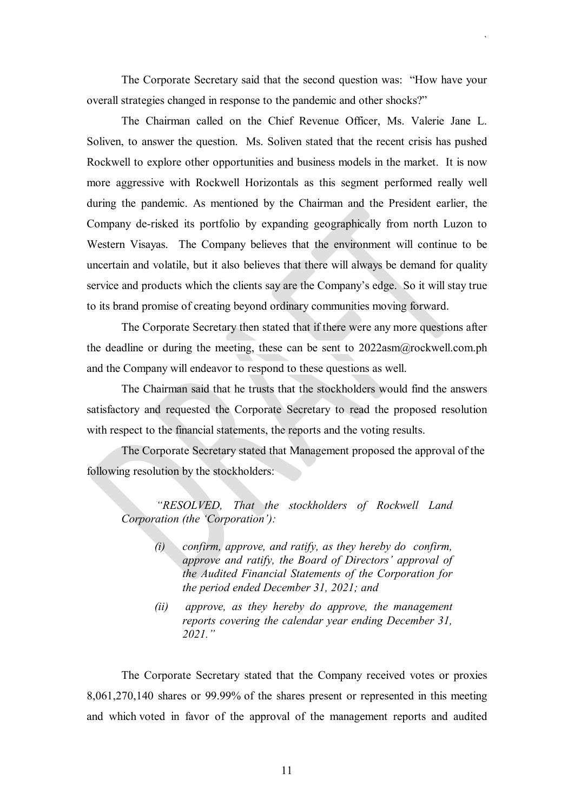The Corporate Secretary said that the second question was: "How have your overall strategies changed in response to the pandemic and other shocks?"

`

The Chairman called on the Chief Revenue Officer, Ms. Valerie Jane L. Soliven, to answer the question. Ms. Soliven stated that the recent crisis has pushed Rockwell to explore other opportunities and business models in the market. It is now more aggressive with Rockwell Horizontals as this segment performed really well during the pandemic. As mentioned by the Chairman and the President earlier, the Company de-risked its portfolio by expanding geographically from north Luzon to Western Visayas. The Company believes that the environment will continue to be uncertain and volatile, but it also believes that there will always be demand for quality service and products which the clients say are the Company's edge. So it will stay true to its brand promise of creating beyond ordinary communities moving forward.

The Corporate Secretary then stated that if there were any more questions after the deadline or during the meeting, these can be sent to  $2022$ asm $@$ rockwell.com.ph and the Company will endeavor to respond to these questions as well.

The Chairman said that he trusts that the stockholders would find the answers satisfactory and requested the Corporate Secretary to read the proposed resolution with respect to the financial statements, the reports and the voting results.

The Corporate Secretary stated that Management proposed the approval of the following resolution by the stockholders:

*"RESOLVED, That the stockholders of Rockwell Land Corporation (the 'Corporation'):* 

- *(i) confirm, approve, and ratify, as they hereby do confirm, approve and ratify, the Board of Directors' approval of the Audited Financial Statements of the Corporation for the period ended December 31, 2021; and*
- *(ii) approve, as they hereby do approve, the management reports covering the calendar year ending December 31, 2021."*

The Corporate Secretary stated that the Company received votes or proxies 8,061,270,140 shares or 99.99% of the shares present or represented in this meeting and which voted in favor of the approval of the management reports and audited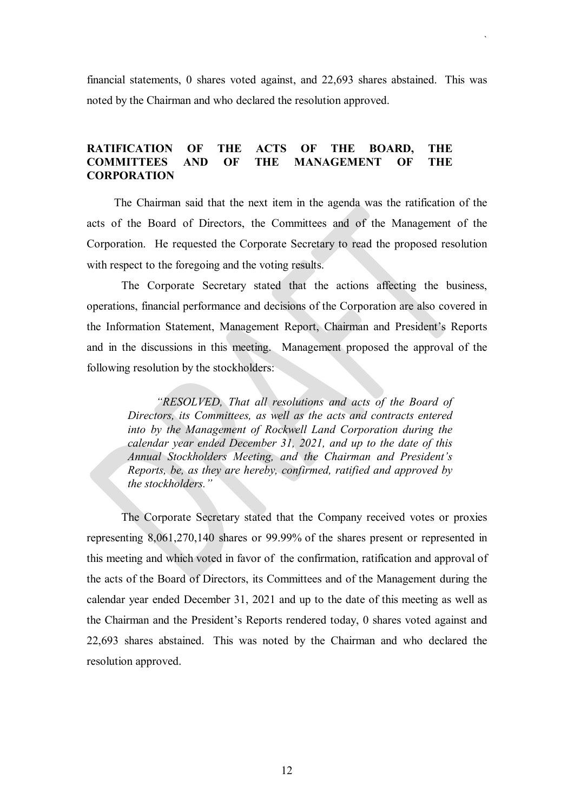financial statements, 0 shares voted against, and 22,693 shares abstained. This was noted by the Chairman and who declared the resolution approved.

`

# **RATIFICATION OF THE ACTS OF THE BOARD, THE COMMITTEES AND OF THE MANAGEMENT OF THE CORPORATION**

The Chairman said that the next item in the agenda was the ratification of the acts of the Board of Directors, the Committees and of the Management of the Corporation. He requested the Corporate Secretary to read the proposed resolution with respect to the foregoing and the voting results.

The Corporate Secretary stated that the actions affecting the business, operations, financial performance and decisions of the Corporation are also covered in the Information Statement, Management Report, Chairman and President's Reports and in the discussions in this meeting. Management proposed the approval of the following resolution by the stockholders:

*"RESOLVED, That all resolutions and acts of the Board of Directors, its Committees, as well as the acts and contracts entered into by the Management of Rockwell Land Corporation during the calendar year ended December 31, 2021, and up to the date of this Annual Stockholders Meeting, and the Chairman and President's Reports, be, as they are hereby, confirmed, ratified and approved by the stockholders."*

The Corporate Secretary stated that the Company received votes or proxies representing 8,061,270,140 shares or 99.99% of the shares present or represented in this meeting and which voted in favor of the confirmation, ratification and approval of the acts of the Board of Directors, its Committees and of the Management during the calendar year ended December 31, 2021 and up to the date of this meeting as well as the Chairman and the President's Reports rendered today, 0 shares voted against and 22,693 shares abstained. This was noted by the Chairman and who declared the resolution approved.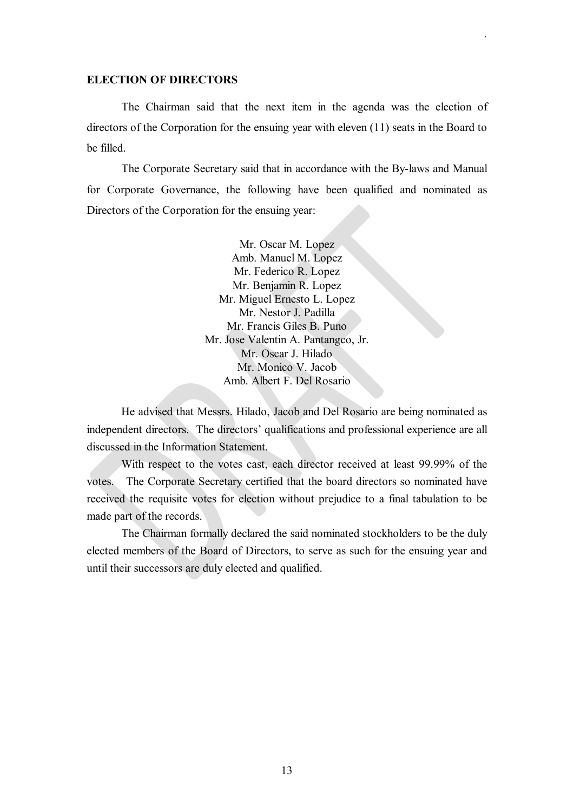## **ELECTION OF DIRECTORS**

The Chairman said that the next item in the agenda was the election of directors of the Corporation for the ensuing year with eleven (11) seats in the Board to be filled.

`

The Corporate Secretary said that in accordance with the By-laws and Manual for Corporate Governance, the following have been qualified and nominated as Directors of the Corporation for the ensuing year:

> Mr. Oscar M. Lopez Amb. Manuel M. Lopez Mr. Federico R. Lopez Mr. Benjamin R. Lopez Mr. Miguel Ernesto L. Lopez Mr. Nestor J. Padilla Mr. Francis Giles B. Puno Mr. Jose Valentin A. Pantangco, Jr. Mr. Oscar J. Hilado Mr. Monico V. Jacob Amb. Albert F. Del Rosario

He advised that Messrs. Hilado, Jacob and Del Rosario are being nominated as independent directors. The directors' qualifications and professional experience are all discussed in the Information Statement.

With respect to the votes cast, each director received at least 99.99% of the votes. The Corporate Secretary certified that the board directors so nominated have received the requisite votes for election without prejudice to a final tabulation to be made part of the records.

The Chairman formally declared the said nominated stockholders to be the duly elected members of the Board of Directors, to serve as such for the ensuing year and until their successors are duly elected and qualified.